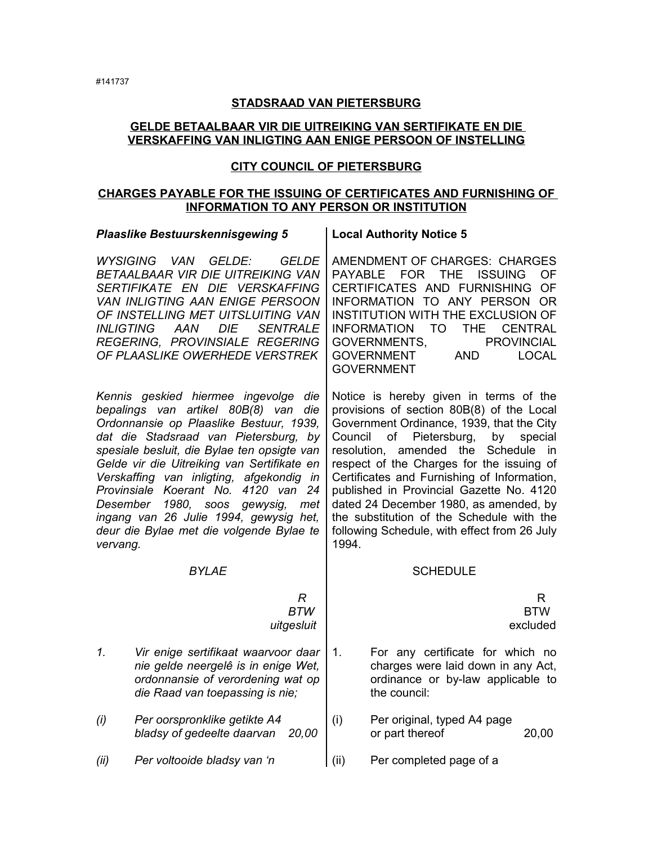## **STADSRAAD VAN PIETERSBURG**

## **GELDE BETAALBAAR VIR DIE UITREIKING VAN SERTIFIKATE EN DIE VERSKAFFING VAN INLIGTING AAN ENIGE PERSOON OF INSTELLING**

## **CITY COUNCIL OF PIETERSBURG**

## **CHARGES PAYABLE FOR THE ISSUING OF CERTIFICATES AND FURNISHING OF INFORMATION TO ANY PERSON OR INSTITUTION**

|                                                                                                                                                                                                                                                                                                                                                                                                                                                                                                                 | <b>Plaaslike Bestuurskennisgewing 5</b>                                                                                                            |      | <b>Local Authority Notice 5</b>                                                                                                                                                                                                                                                                                                                                                                                                                                                                                              |  |  |  |
|-----------------------------------------------------------------------------------------------------------------------------------------------------------------------------------------------------------------------------------------------------------------------------------------------------------------------------------------------------------------------------------------------------------------------------------------------------------------------------------------------------------------|----------------------------------------------------------------------------------------------------------------------------------------------------|------|------------------------------------------------------------------------------------------------------------------------------------------------------------------------------------------------------------------------------------------------------------------------------------------------------------------------------------------------------------------------------------------------------------------------------------------------------------------------------------------------------------------------------|--|--|--|
| WYSIGING VAN<br>GELDE:<br>GELDE<br>BETAALBAAR VIR DIE UITREIKING VAN<br>SERTIFIKATE EN DIE VERSKAFFING<br><b>VAN INLIGTING AAN ENIGE PERSOON</b><br>OF INSTELLING MET UITSLUITING VAN<br><b>INLIGTING</b><br><b>AAN</b><br><b>DIE</b><br><b>SENTRALE</b><br>REGERING, PROVINSIALE REGERING<br>OF PLAASLIKE OWERHEDE VERSTREK                                                                                                                                                                                    |                                                                                                                                                    |      | AMENDMENT OF CHARGES: CHARGES<br><b>PAYABLE</b><br><b>FOR</b><br><b>THE</b><br><b>ISSUING</b><br>OF<br>CERTIFICATES AND FURNISHING<br>OF<br>INFORMATION TO ANY PERSON<br>OR<br>INSTITUTION WITH THE EXCLUSION OF<br><b>INFORMATION</b><br><b>TO</b><br><b>THE</b><br><b>CENTRAL</b><br>GOVERNMENTS,<br><b>PROVINCIAL</b><br><b>GOVERNMENT</b><br><b>AND</b><br><b>LOCAL</b><br><b>GOVERNMENT</b>                                                                                                                             |  |  |  |
| Kennis geskied hiermee ingevolge<br>die<br>bepalings van artikel 80B(8) van<br>die<br>Ordonnansie op Plaaslike Bestuur, 1939,<br>dat die Stadsraad van Pietersburg, by<br>spesiale besluit, die Bylae ten opsigte van<br>Gelde vir die Uitreiking van Sertifikate en<br>Verskaffing van inligting, afgekondig<br>in<br>4120 van 24<br>Provinsiale Koerant No.<br>1980,<br>Desember<br>soos<br>gewysig,<br>met<br>ingang van 26 Julie 1994, gewysig het,<br>deur die Bylae met die volgende Bylae te<br>vervang. |                                                                                                                                                    |      | Notice is hereby given in terms of the<br>provisions of section 80B(8) of the Local<br>Government Ordinance, 1939, that the City<br>Pietersburg,<br>Council<br>of<br>by<br>special<br>Schedule<br>amended the<br>resolution,<br>in i<br>respect of the Charges for the issuing of<br>Certificates and Furnishing of Information,<br>published in Provincial Gazette No. 4120<br>dated 24 December 1980, as amended, by<br>the substitution of the Schedule with the<br>following Schedule, with effect from 26 July<br>1994. |  |  |  |
|                                                                                                                                                                                                                                                                                                                                                                                                                                                                                                                 | <b>BYLAE</b>                                                                                                                                       |      | <b>SCHEDULE</b>                                                                                                                                                                                                                                                                                                                                                                                                                                                                                                              |  |  |  |
|                                                                                                                                                                                                                                                                                                                                                                                                                                                                                                                 | R<br><b>BTW</b><br>uitgesluit                                                                                                                      |      | R<br><b>BTW</b><br>excluded                                                                                                                                                                                                                                                                                                                                                                                                                                                                                                  |  |  |  |
| $\mathcal{I}$ .                                                                                                                                                                                                                                                                                                                                                                                                                                                                                                 | Vir enige sertifikaat waarvoor daar<br>nie gelde neergelê is in enige Wet,<br>ordonnansie of verordening wat op<br>die Raad van toepassing is nie; | 1.   | For any certificate for which no<br>charges were laid down in any Act,<br>ordinance or by-law applicable to<br>the council:                                                                                                                                                                                                                                                                                                                                                                                                  |  |  |  |
| (i)                                                                                                                                                                                                                                                                                                                                                                                                                                                                                                             | Per oorspronklike getikte A4<br>bladsy of gedeelte daarvan<br>20,00                                                                                | (i)  | Per original, typed A4 page<br>or part thereof<br>20,00                                                                                                                                                                                                                                                                                                                                                                                                                                                                      |  |  |  |
| (ii)                                                                                                                                                                                                                                                                                                                                                                                                                                                                                                            | Per voltooide bladsy van 'n                                                                                                                        | (ii) | Per completed page of a                                                                                                                                                                                                                                                                                                                                                                                                                                                                                                      |  |  |  |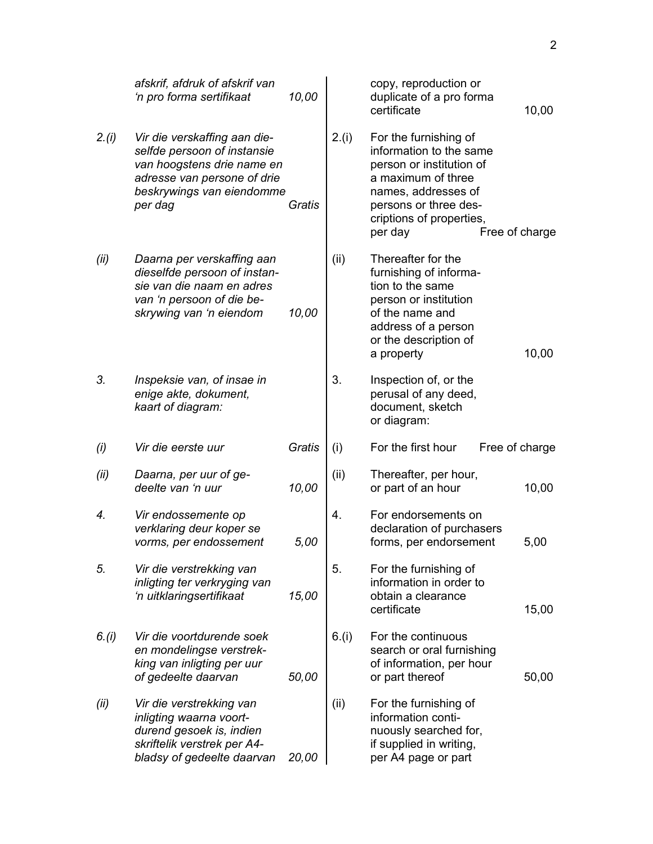|        | afskrif, afdruk of afskrif van<br>'n pro forma sertifikaat                                                                                                       | 10,00  |       | copy, reproduction or<br>duplicate of a pro forma<br>certificate                                                                                                                                            | 10,00 |
|--------|------------------------------------------------------------------------------------------------------------------------------------------------------------------|--------|-------|-------------------------------------------------------------------------------------------------------------------------------------------------------------------------------------------------------------|-------|
| 2.(i)  | Vir die verskaffing aan die-<br>selfde persoon of instansie<br>van hoogstens drie name en<br>adresse van persone of drie<br>beskrywings van eiendomme<br>per dag | Gratis | 2.(i) | For the furnishing of<br>information to the same<br>person or institution of<br>a maximum of three<br>names, addresses of<br>persons or three des-<br>criptions of properties,<br>Free of charge<br>per day |       |
| (ii)   | Daarna per verskaffing aan<br>dieselfde persoon of instan-<br>sie van die naam en adres<br>van 'n persoon of die be-<br>skrywing van 'n eiendom                  | 10,00  | (ii)  | Thereafter for the<br>furnishing of informa-<br>tion to the same<br>person or institution<br>of the name and<br>address of a person<br>or the description of<br>a property                                  | 10,00 |
| 3.     | Inspeksie van, of insae in<br>enige akte, dokument,<br>kaart of diagram:                                                                                         |        | 3.    | Inspection of, or the<br>perusal of any deed,<br>document, sketch<br>or diagram:                                                                                                                            |       |
| (i)    | Vir die eerste uur                                                                                                                                               | Gratis | (i)   | For the first hour<br>Free of charge                                                                                                                                                                        |       |
| (ii)   | Daarna, per uur of ge-<br>deelte van 'n uur                                                                                                                      | 10,00  | (ii)  | Thereafter, per hour,<br>or part of an hour                                                                                                                                                                 | 10,00 |
| 4.     | Vir endossemente op<br>verklaring deur koper se<br>vorms, per endossement                                                                                        | 5,00   | 4.    | For endorsements on<br>declaration of purchasers<br>forms, per endorsement                                                                                                                                  | 5,00  |
| 5.     | Vir die verstrekking van<br>inligting ter verkryging van<br>'n uitklaringsertifikaat                                                                             | 15,00  | 5.    | For the furnishing of<br>information in order to<br>obtain a clearance<br>certificate                                                                                                                       | 15,00 |
| 6. (i) | Vir die voortdurende soek<br>en mondelingse verstrek-<br>king van inligting per uur<br>of gedeelte daarvan                                                       | 50,00  | 6.(i) | For the continuous<br>search or oral furnishing<br>of information, per hour<br>or part thereof                                                                                                              | 50,00 |
| (ii)   | Vir die verstrekking van<br>inligting waarna voort-<br>durend gesoek is, indien<br>skriftelik verstrek per A4-<br>bladsy of gedeelte daarvan                     | 20,00  | (ii)  | For the furnishing of<br>information conti-<br>nuously searched for,<br>if supplied in writing,<br>per A4 page or part                                                                                      |       |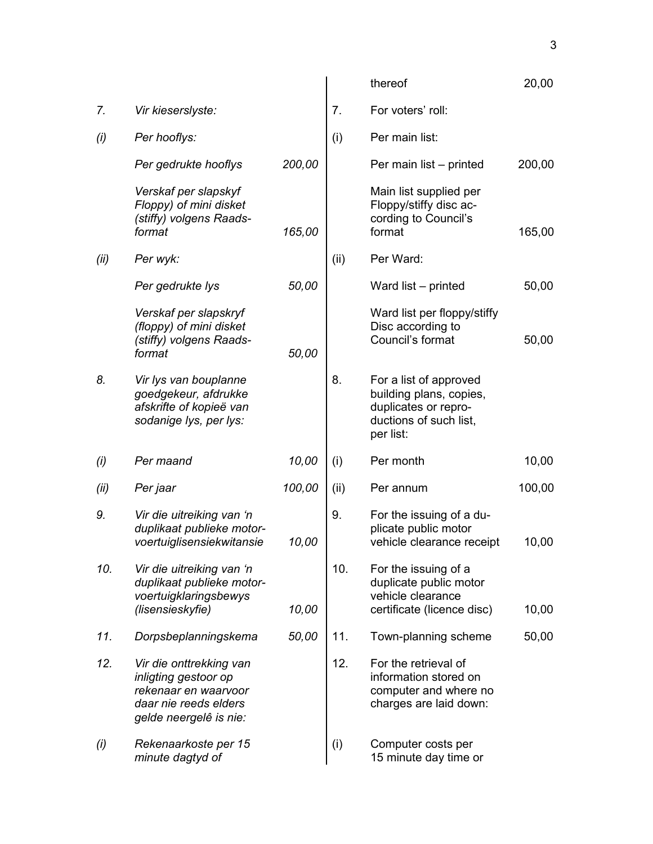|      |                                                                                                                            |        |      | thereof                                                                                                          | 20,00  |
|------|----------------------------------------------------------------------------------------------------------------------------|--------|------|------------------------------------------------------------------------------------------------------------------|--------|
| 7.   | Vir kieserslyste:                                                                                                          |        | 7.   | For voters' roll:                                                                                                |        |
| (i)  | Per hooflys:                                                                                                               |        | (i)  | Per main list:                                                                                                   |        |
|      | Per gedrukte hooflys                                                                                                       | 200,00 |      | Per main list - printed                                                                                          | 200,00 |
|      | Verskaf per slapskyf<br>Floppy) of mini disket<br>(stiffy) volgens Raads-<br>format                                        | 165,00 |      | Main list supplied per<br>Floppy/stiffy disc ac-<br>cording to Council's<br>format                               | 165,00 |
| (ii) | Per wyk:                                                                                                                   |        | (ii) | Per Ward:                                                                                                        |        |
|      | Per gedrukte lys                                                                                                           | 50,00  |      | Ward list - printed                                                                                              | 50,00  |
|      | Verskaf per slapskryf<br>(floppy) of mini disket<br>(stiffy) volgens Raads-<br>format                                      | 50,00  |      | Ward list per floppy/stiffy<br>Disc according to<br>Council's format                                             | 50,00  |
| 8.   | Vir lys van bouplanne<br>goedgekeur, afdrukke<br>afskrifte of kopieë van<br>sodanige lys, per lys:                         |        | 8.   | For a list of approved<br>building plans, copies,<br>duplicates or repro-<br>ductions of such list,<br>per list: |        |
| (i)  | Per maand                                                                                                                  | 10,00  | (i)  | Per month                                                                                                        | 10,00  |
| (ii) | Per jaar                                                                                                                   | 100,00 | (ii) | Per annum                                                                                                        | 100,00 |
| 9.   | Vir die uitreiking van 'n<br>duplikaat publieke motor-<br>voertuiglisensiekwitansie                                        | 10,00  | 9.   | For the issuing of a du-<br>plicate public motor<br>vehicle clearance receipt                                    | 10,00  |
| 10.  | Vir die uitreiking van 'n<br>duplikaat publieke motor-<br>voertuigklaringsbewys<br>(lisensieskyfie)                        | 10,00  | 10.  | For the issuing of a<br>duplicate public motor<br>vehicle clearance<br>certificate (licence disc)                | 10,00  |
| 11.  | Dorpsbeplanningskema                                                                                                       | 50,00  | 11.  | Town-planning scheme                                                                                             | 50,00  |
| 12.  | Vir die onttrekking van<br>inligting gestoor op<br>rekenaar en waarvoor<br>daar nie reeds elders<br>gelde neergelê is nie: |        | 12.  | For the retrieval of<br>information stored on<br>computer and where no<br>charges are laid down:                 |        |
| (i)  | Rekenaarkoste per 15<br>minute dagtyd of                                                                                   |        | (i)  | Computer costs per<br>15 minute day time or                                                                      |        |